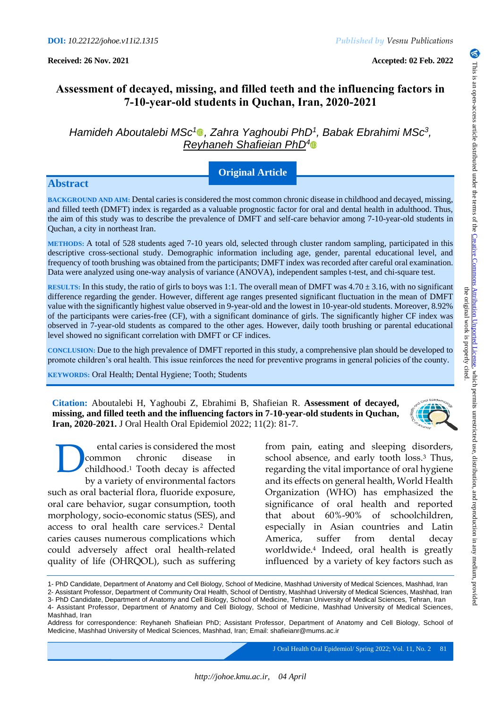# **Assessment of decayed, missing, and filled teeth and the influencing factors in 7-10-year-old students in Quchan, Iran, 2020-2021**

*Hamideh Aboutalebi MSc<sup>1</sup> , Zahra Yaghoubi PhD<sup>1</sup> , Babak Ebrahimi MSc<sup>3</sup> , Reyhaneh Shafieian PhD<sup>4</sup>*

## **Original Article**

### **Abstract**

**BACKGROUND AND AIM:** Dental caries is considered the most common chronic disease in childhood and decayed, missing, and filled teeth (DMFT) index is regarded as a valuable prognostic factor for oral and dental health in adulthood. Thus, the aim of this study was to describe the prevalence of DMFT and self-care behavior among 7-10-year-old students in Quchan, a city in northeast Iran.

**METHODS:** A total of 528 students aged 7-10 years old, selected through cluster random sampling, participated in this descriptive cross-sectional study. Demographic information including age, gender, parental educational level, and frequency of tooth brushing was obtained from the participants; DMFT index was recorded after careful oral examination. Data were analyzed using one-way analysis of variance (ANOVA), independent samples t-test, and chi-square test.

**RESULTS:** In this study, the ratio of girls to boys was 1:1. The overall mean of DMFT was  $4.70 \pm 3.16$ , with no significant difference regarding the gender. However, different age ranges presented significant fluctuation in the mean of DMFT value with the significantly highest value observed in 9-year-old and the lowest in 10-year-old students. Moreover, 8.92% of the participants were caries-free (CF), with a significant dominance of girls. The significantly higher CF index was observed in 7-year-old students as compared to the other ages. However, daily tooth brushing or parental educational level showed no significant correlation with DMFT or CF indices.

**CONCLUSION:** Due to the high prevalence of DMFT reported in this study, a comprehensive plan should be developed to promote children's oral health. This issue reinforces the need for preventive programs in general policies of the county.

**KEYWORDS:** Oral Health; Dental Hygiene; Tooth; Students

**Citation:** Aboutalebi H, Yaghoubi Z, Ebrahimi B, Shafieian R. **Assessment of decayed, missing, and filled teeth and the influencing factors in 7-10-year-old students in Quchan, Iran, 2020-2021.** J Oral Health Oral Epidemiol 2022; 11(2): 81-7.

ental caries is considered the most common chronic disease in childhood. <sup>1</sup> Tooth decay is affected by a variety of environmental factors such as oral bacterial flora, fluoride exposure, oral care behavior, sugar consumption, tooth morphology, socio-economic status (SES), and access to oral health care services.<sup>2</sup> Dental caries causes numerous complications which could adversely affect oral health-related quality of life (OHRQOL), such as suffering D

from pain, eating and sleeping disorders, school absence, and early tooth loss.<sup>3</sup> Thus, regarding the vital importance of oral hygiene and its effects on general health, World Health Organization (WHO) has emphasized the significance of oral health and reported that about 60%-90% of schoolchildren, especially in Asian countries and Latin America, suffer from dental decay worldwide.<sup>4</sup> Indeed, oral health is greatly influenced by a variety of key factors such as

3- PhD Candidate, Department of Anatomy and Cell Biology, School of Medicine, Tehran University of Medical Sciences, Tehran, Iran 4- Assistant Professor, Department of Anatomy and Cell Biology, School of Medicine, Mashhad University of Medical Sciences, Mashhad, Iran

J Oral Health Oral Epidemiol/ Spring 2022; Vol. 11, No. 281

<sup>1-</sup> PhD Candidate, Department of Anatomy and Cell Biology, School of Medicine, Mashhad University of Medical Sciences, Mashhad, Iran

<sup>2-</sup> Assistant Professor, Department of Community Oral Health, School of Dentistry, Mashhad University of Medical Sciences, Mashhad, Iran

Address for correspondence: Reyhaneh Shafieian PhD; Assistant Professor, Department of Anatomy and Cell Biology, School of Medicine, Mashhad University of Medical Sciences, Mashhad, Iran; Email: shafieianr@mums.ac.ir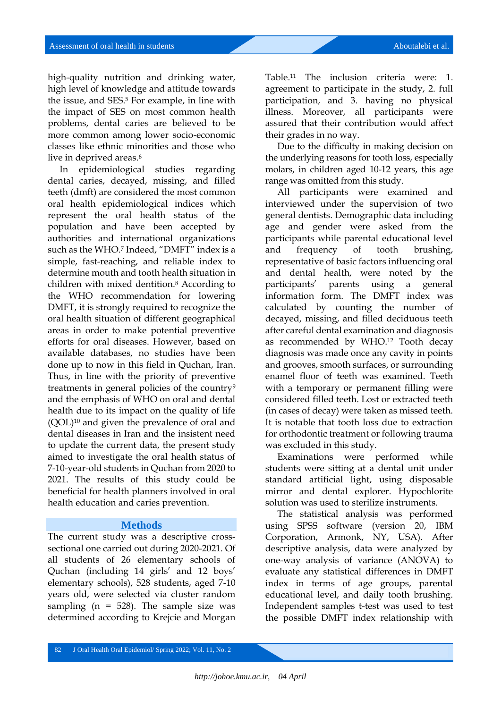high-quality nutrition and drinking water, high level of knowledge and attitude towards the issue, and SES. <sup>5</sup> For example, in line with the impact of SES on most common health problems, dental caries are believed to be more common among lower socio-economic classes like ethnic minorities and those who live in deprived areas.<sup>6</sup>

In epidemiological studies regarding dental caries, decayed, missing, and filled teeth (dmft) are considered the most common oral health epidemiological indices which represent the oral health status of the population and have been accepted by authorities and international organizations such as the WHO.<sup>7</sup> Indeed, "DMFT" index is a simple, fast-reaching, and reliable index to determine mouth and tooth health situation in children with mixed dentition.<sup>8</sup> According to the WHO recommendation for lowering DMFT, it is strongly required to recognize the oral health situation of different geographical areas in order to make potential preventive efforts for oral diseases. However, based on available databases, no studies have been done up to now in this field in Quchan, Iran. Thus, in line with the priority of preventive treatments in general policies of the country<sup>9</sup> and the emphasis of WHO on oral and dental health due to its impact on the quality of life (QOL)<sup>10</sup> and given the prevalence of oral and dental diseases in Iran and the insistent need to update the current data, the present study aimed to investigate the oral health status of 7-10-year-old students in Quchan from 2020 to 2021. The results of this study could be beneficial for health planners involved in oral health education and caries prevention.

#### **Methods**

The current study was a descriptive crosssectional one carried out during 2020-2021. Of all students of 26 elementary schools of Quchan (including 14 girls' and 12 boys' elementary schools), 528 students, aged 7-10 years old, were selected via cluster random sampling ( $n = 528$ ). The sample size was determined according to Krejcie and Morgan

Table.<sup>11</sup> The inclusion criteria were: 1. agreement to participate in the study, 2. full participation, and 3. having no physical illness. Moreover, all participants were assured that their contribution would affect their grades in no way.

Due to the difficulty in making decision on the underlying reasons for tooth loss, especially molars, in children aged 10-12 years, this age range was omitted from this study.

All participants were examined and interviewed under the supervision of two general dentists. Demographic data including age and gender were asked from the participants while parental educational level and frequency of tooth brushing, representative of basic factors influencing oral and dental health, were noted by the participants' parents using a general information form. The DMFT index was calculated by counting the number of decayed, missing, and filled deciduous teeth after careful dental examination and diagnosis as recommended by WHO.<sup>12</sup> Tooth decay diagnosis was made once any cavity in points and grooves, smooth surfaces, or surrounding enamel floor of teeth was examined. Teeth with a temporary or permanent filling were considered filled teeth. Lost or extracted teeth (in cases of decay) were taken as missed teeth. It is notable that tooth loss due to extraction for orthodontic treatment or following trauma was excluded in this study.

Examinations were performed while students were sitting at a dental unit under standard artificial light, using disposable mirror and dental explorer. Hypochlorite solution was used to sterilize instruments.

The statistical analysis was performed using SPSS software (version 20, IBM Corporation, Armonk, NY, USA). After descriptive analysis, data were analyzed by one-way analysis of variance (ANOVA) to evaluate any statistical differences in DMFT index in terms of age groups, parental educational level, and daily tooth brushing. Independent samples t-test was used to test the possible DMFT index relationship with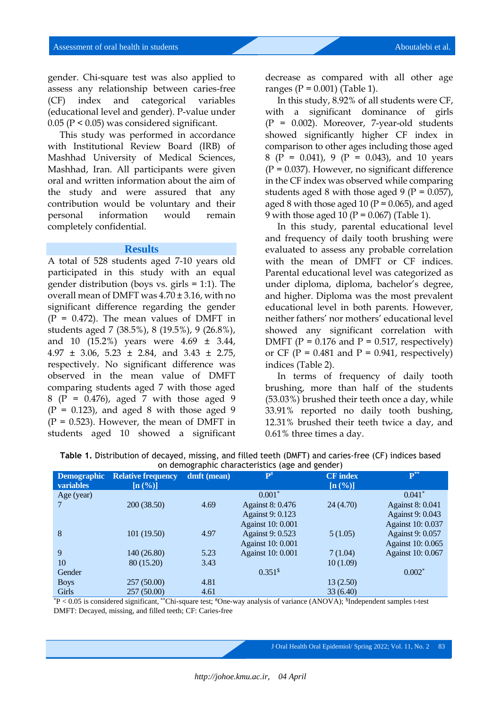gender. Chi-square test was also applied to assess any relationship between caries-free (CF) index and categorical variables (educational level and gender). P-value under 0.05 (P < 0.05) was considered significant.

This study was performed in accordance with Institutional Review Board (IRB) of Mashhad University of Medical Sciences, Mashhad, Iran. All participants were given oral and written information about the aim of the study and were assured that any contribution would be voluntary and their personal information would remain completely confidential.

#### **Results**

A total of 528 students aged 7-10 years old participated in this study with an equal gender distribution (boys vs. girls = 1:1). The overall mean of DMFT was 4.70 ± 3.16, with no significant difference regarding the gender  $(P = 0.472)$ . The mean values of DMFT in students aged 7 (38.5%), 8 (19.5%), 9 (26.8%), and 10 (15.2%) years were 4.69 ± 3.44, 4.97 ± 3.06, 5.23 ± 2.84, and 3.43 ± 2.75, respectively. No significant difference was observed in the mean value of DMFT comparing students aged 7 with those aged 8 (P = 0.476), aged 7 with those aged 9  $(P = 0.123)$ , and aged 8 with those aged 9  $(P = 0.523)$ . However, the mean of DMFT in students aged 10 showed a significant

decrease as compared with all other age ranges ( $P = 0.001$ ) (Table 1).

In this study, 8.92% of all students were CF, with a significant dominance of girls (P = 0.002). Moreover, 7-year-old students showed significantly higher CF index in comparison to other ages including those aged 8 (P = 0.041), 9 (P = 0.043), and 10 years  $(P = 0.037)$ . However, no significant difference in the CF index was observed while comparing students aged 8 with those aged 9 ( $P = 0.057$ ), aged 8 with those aged 10 ( $P = 0.065$ ), and aged 9 with those aged 10 ( $P = 0.067$ ) (Table 1).

In this study, parental educational level and frequency of daily tooth brushing were evaluated to assess any probable correlation with the mean of DMFT or CF indices. Parental educational level was categorized as under diploma, diploma, bachelor's degree, and higher. Diploma was the most prevalent educational level in both parents. However, neither fathers' nor mothers' educational level showed any significant correlation with DMFT ( $P = 0.176$  and  $P = 0.517$ , respectively) or CF ( $P = 0.481$  and  $P = 0.941$ , respectively) indices (Table 2).

In terms of frequency of daily tooth brushing, more than half of the students (53.03%) brushed their teeth once a day, while 33.91% reported no daily tooth bushing, 12.31% brushed their teeth twice a day, and 0.61% three times a day.

| on demographic characteristics (age and gender) |                                                       |             |                          |                 |                         |  |  |  |
|-------------------------------------------------|-------------------------------------------------------|-------------|--------------------------|-----------------|-------------------------|--|--|--|
| <b>Demographic</b>                              | <b>Relative frequency</b>                             | dmft (mean) | $\mathbf{P}^{\#}$        | <b>CF</b> index | ${\bf P}^{**}$          |  |  |  |
| <b>variables</b>                                | $\left[\mathbf{n} \left( \overline{\%}\right)\right]$ |             |                          | [n (%)]         |                         |  |  |  |
| Age (year)                                      |                                                       |             | $0.001*$                 |                 | $0.041*$                |  |  |  |
|                                                 | 200 (38.50)                                           | 4.69        | Against 8: 0.476         | 24(4.70)        | <b>Against 8: 0.041</b> |  |  |  |
|                                                 |                                                       |             | Against 9: 0.123         |                 | Against 9: 0.043        |  |  |  |
|                                                 |                                                       |             | Against 10: 0.001        |                 | Against 10: 0.037       |  |  |  |
| 8                                               | 101 (19.50)                                           | 4.97        | Against 9: 0.523         | 5(1.05)         | Against 9: 0.057        |  |  |  |
|                                                 |                                                       |             | <b>Against 10: 0.001</b> |                 | Against 10: 0.065       |  |  |  |
| 9                                               | 140 (26.80)                                           | 5.23        | Against 10: 0.001        | 7(1.04)         | Against 10: 0.067       |  |  |  |
| 10                                              | 80 (15.20)                                            | 3.43        |                          | 10(1.09)        |                         |  |  |  |
| Gender                                          |                                                       |             | $0.351$ \$               |                 | $0.002*$                |  |  |  |
| <b>Boys</b>                                     | 257(50.00)                                            | 4.81        |                          | 13(2.50)        |                         |  |  |  |
| Girls                                           | 257 (50.00)                                           | 4.61        |                          | 33(6.40)        |                         |  |  |  |

**Table 1.** Distribution of decayed, missing, and filled teeth (DMFT) and caries-free (CF) indices based on demographic characteristics (age and gender)

 $P < 0.05$  is considered significant, \*\*Chi-square test;  $\#$ One-way analysis of variance (ANOVA);  ${}^s$ Independent samples t-test DMFT: Decayed, missing, and filled teeth; CF: Caries-free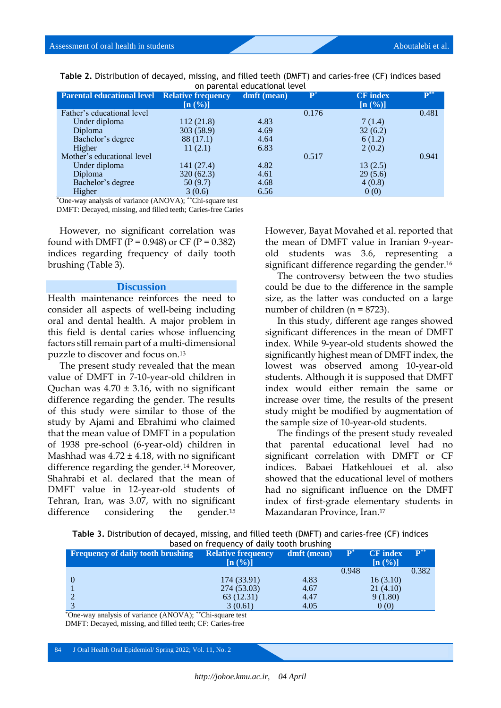| <b>Parental educational level Relative frequency</b> | $\left[\mathbf{n}\left(\mathcal{\%}\right)\right]$ | dmft (mean) | $\mathbf{p}$ | <b>CF</b> index<br>[n (%)] | $\mathbf{P}^{**}$ |
|------------------------------------------------------|----------------------------------------------------|-------------|--------------|----------------------------|-------------------|
| Father's educational level                           |                                                    |             | 0.176        |                            | 0.481             |
| Under diploma                                        | 112 (21.8)                                         | 4.83        |              | 7(1.4)                     |                   |
| <b>Diploma</b>                                       | 303 (58.9)                                         | 4.69        |              | 32(6.2)                    |                   |
| Bachelor's degree                                    | 88 (17.1)                                          | 4.64        |              | 6(1.2)                     |                   |
| Higher                                               | 11(2.1)                                            | 6.83        |              | 2(0.2)                     |                   |
| Mother's educational level                           |                                                    |             | 0.517        |                            | 0.941             |
| Under diploma                                        | 141 (27.4)                                         | 4.82        |              | 13(2.5)                    |                   |
| <b>Diploma</b>                                       | 320(62.3)                                          | 4.61        |              | 29(5.6)                    |                   |
| Bachelor's degree                                    | 50 (9.7)                                           | 4.68        |              | 4(0.8)                     |                   |
| Higher                                               | 3(0.6)                                             | 6.56        |              | 0(0)                       |                   |

**Table 2.** Distribution of decayed, missing, and filled teeth (DMFT) and caries-free (CF) indices based on particular level

\*One-way analysis of variance (ANOVA); \*\*Chi-square test

DMFT: Decayed, missing, and filled teeth; Caries-free Caries

However, no significant correlation was found with DMFT ( $P = 0.948$ ) or CF ( $P = 0.382$ ) indices regarding frequency of daily tooth brushing (Table 3).

#### **Discussion**

Health maintenance reinforces the need to consider all aspects of well-being including oral and dental health. A major problem in this field is dental caries whose influencing factors still remain part of a multi-dimensional puzzle to discover and focus on.<sup>13</sup>

The present study revealed that the mean value of DMFT in 7-10-year-old children in Quchan was  $4.70 \pm 3.16$ , with no significant difference regarding the gender. The results of this study were similar to those of the study by Ajami and Ebrahimi who claimed that the mean value of DMFT in a population of 1938 pre-school (6-year-old) children in Mashhad was  $4.72 \pm 4.18$ , with no significant difference regarding the gender.<sup>14</sup> Moreover, Shahrabi et al. declared that the mean of DMFT value in 12-year-old students of Tehran, Iran, was 3.07, with no significant difference considering the gender.<sup>15</sup>

However, Bayat Movahed et al. reported that the mean of DMFT value in Iranian 9-yearold students was 3.6, representing a significant difference regarding the gender.<sup>16</sup>

The controversy between the two studies could be due to the difference in the sample size, as the latter was conducted on a large number of children (n = 8723).

In this study, different age ranges showed significant differences in the mean of DMFT index. While 9-year-old students showed the significantly highest mean of DMFT index, the lowest was observed among 10-year-old students. Although it is supposed that DMFT index would either remain the same or increase over time, the results of the present study might be modified by augmentation of the sample size of 10-year-old students.

The findings of the present study revealed that parental educational level had no significant correlation with DMFT or CF indices. Babaei Hatkehlouei et al. also showed that the educational level of mothers had no significant influence on the DMFT index of first-grade elementary students in Mazandaran Province, Iran. 17

| Table 3. Distribution of decayed, missing, and filled teeth (DMFT) and caries-free (CF) indices |  |  |  |  |  |  |
|-------------------------------------------------------------------------------------------------|--|--|--|--|--|--|
| based on frequency of daily tooth brushing                                                      |  |  |  |  |  |  |

| <b>Frequency of daily tooth brushing</b> | <b>Relative frequency</b><br>$\left[\mathbf{n}\left(\mathrm{\%}\right)\right]$ | dmft (mean) | $\mathbf{P}^*$ | <b>CF</b> index<br>$\left[\mathbf{n}\left(\frac{0}{0}\right)\right]$ | $\mathbf{P}^{**}$ |
|------------------------------------------|--------------------------------------------------------------------------------|-------------|----------------|----------------------------------------------------------------------|-------------------|
|                                          |                                                                                |             | 0.948          |                                                                      | 0.382             |
|                                          | 174 (33.91)                                                                    | 4.83        |                | 16(3.10)                                                             |                   |
|                                          | 274 (53.03)                                                                    | 4.67        |                | 21(4.10)                                                             |                   |
|                                          | 63 (12.31)                                                                     | 4.47        |                | 9(1.80)                                                              |                   |
|                                          | 3(0.61)                                                                        | 4.05        |                | 0(0)                                                                 |                   |

\*One-way analysis of variance (ANOVA); \*\*Chi-square test DMFT: Decayed, missing, and filled teeth; CF: Caries-free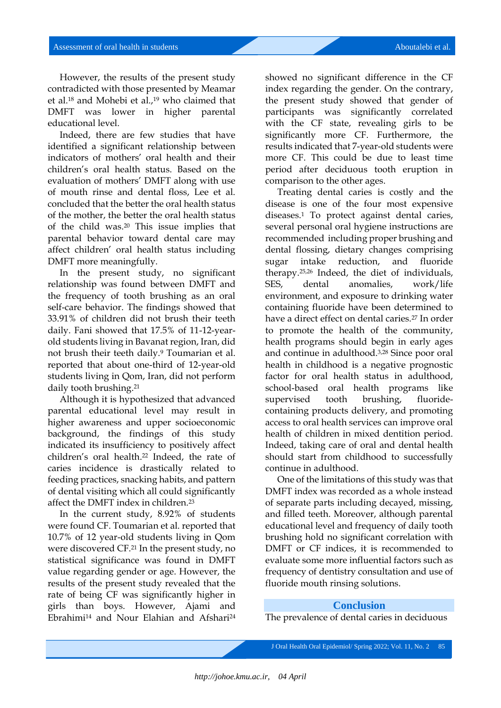However, the results of the present study contradicted with those presented by Meamar et al.<sup>18</sup> and Mohebi et al.,<sup>19</sup> who claimed that DMFT was lower in higher parental educational level.

Indeed, there are few studies that have identified a significant relationship between indicators of mothers' oral health and their children's oral health status. Based on the evaluation of mothers' DMFT along with use of mouth rinse and dental floss, Lee et al. concluded that the better the oral health status of the mother, the better the oral health status of the child was. <sup>20</sup> This issue implies that parental behavior toward dental care may affect children' oral health status including DMFT more meaningfully.

In the present study, no significant relationship was found between DMFT and the frequency of tooth brushing as an oral self-care behavior. The findings showed that 33.91% of children did not brush their teeth daily. Fani showed that 17.5% of 11-12-yearold students living in Bavanat region, Iran, did not brush their teeth daily.<sup>9</sup> Toumarian et al. reported that about one-third of 12-year-old students living in Qom, Iran, did not perform daily tooth brushing. 21

Although it is hypothesized that advanced parental educational level may result in higher awareness and upper socioeconomic background, the findings of this study indicated its insufficiency to positively affect children's oral health. <sup>22</sup> Indeed, the rate of caries incidence is drastically related to feeding practices, snacking habits, and pattern of dental visiting which all could significantly affect the DMFT index in children.<sup>23</sup>

In the current study, 8.92% of students were found CF. Toumarian et al. reported that 10.7% of 12 year-old students living in Qom were discovered CF. <sup>21</sup> In the present study, no statistical significance was found in DMFT value regarding gender or age. However, the results of the present study revealed that the rate of being CF was significantly higher in girls than boys. However, Ajami and Ebrahimi<sup>14</sup> and Nour Elahian and Afshari<sup>24</sup>

showed no significant difference in the CF index regarding the gender. On the contrary, the present study showed that gender of participants was significantly correlated with the CF state, revealing girls to be significantly more CF. Furthermore, the results indicated that 7-year-old students were more CF. This could be due to least time period after deciduous tooth eruption in comparison to the other ages.

Treating dental caries is costly and the disease is one of the four most expensive diseases.<sup>1</sup> To protect against dental caries, several personal oral hygiene instructions are recommended including proper brushing and dental flossing, dietary changes comprising sugar intake reduction, and fluoride therapy.25,26 Indeed, the diet of individuals, SES, dental anomalies, work/life environment, and exposure to drinking water containing fluoride have been determined to have a direct effect on dental caries.<sup>27</sup> In order to promote the health of the community, health programs should begin in early ages and continue in adulthood.3,28 Since poor oral health in childhood is a negative prognostic factor for oral health status in adulthood, school-based oral health programs like supervised tooth brushing, fluoridecontaining products delivery, and promoting access to oral health services can improve oral health of children in mixed dentition period. Indeed, taking care of oral and dental health should start from childhood to successfully continue in adulthood.

One of the limitations of this study was that DMFT index was recorded as a whole instead of separate parts including decayed, missing, and filled teeth. Moreover, although parental educational level and frequency of daily tooth brushing hold no significant correlation with DMFT or CF indices, it is recommended to evaluate some more influential factors such as frequency of dentistry consultation and use of fluoride mouth rinsing solutions.

### **Conclusion**

The prevalence of dental caries in deciduous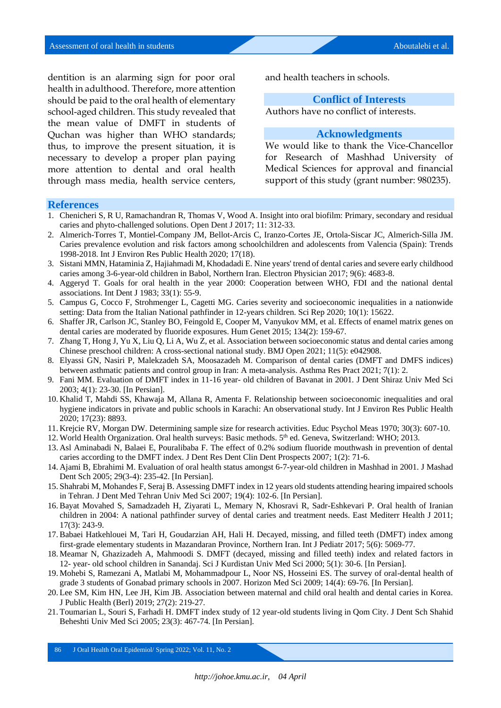dentition is an alarming sign for poor oral health in adulthood. Therefore, more attention should be paid to the oral health of elementary school-aged children. This study revealed that the mean value of DMFT in students of Quchan was higher than WHO standards; thus, to improve the present situation, it is necessary to develop a proper plan paying more attention to dental and oral health through mass media, health service centers,

and health teachers in schools.

### **Conflict of Interests**

Authors have no conflict of interests.

### **Acknowledgments**

We would like to thank the Vice-Chancellor for Research of Mashhad University of Medical Sciences for approval and financial support of this study (grant number: 980235).

#### **References**

- 1. Chenicheri S, R U, Ramachandran R, Thomas V, Wood A. Insight into oral biofilm: Primary, secondary and residual caries and phyto-challenged solutions. Open Dent J 2017; 11: 312-33.
- 2. Almerich-Torres T, Montiel-Company JM, Bellot-Arcis C, Iranzo-Cortes JE, Ortola-Siscar JC, Almerich-Silla JM. Caries prevalence evolution and risk factors among schoolchildren and adolescents from Valencia (Spain): Trends 1998-2018. Int J Environ Res Public Health 2020; 17(18).
- 3. Sistani MMN, Hataminia Z, Hajiahmadi M, Khodadadi E. Nine years' trend of dental caries and severe early childhood caries among 3-6-year-old children in Babol, Northern Iran. Electron Physician 2017; 9(6): 4683-8.
- 4. Aggeryd T. Goals for oral health in the year 2000: Cooperation between WHO, FDI and the national dental associations. Int Dent J 1983; 33(1): 55-9.
- 5. Campus G, Cocco F, Strohmenger L, Cagetti MG. Caries severity and socioeconomic inequalities in a nationwide setting: Data from the Italian National pathfinder in 12-years children. Sci Rep 2020; 10(1): 15622.
- 6. Shaffer JR, Carlson JC, Stanley BO, Feingold E, Cooper M, Vanyukov MM, et al. Effects of enamel matrix genes on dental caries are moderated by fluoride exposures. Hum Genet 2015; 134(2): 159-67.
- 7. Zhang T, Hong J, Yu X, Liu Q, Li A, Wu Z, et al. Association between socioeconomic status and dental caries among Chinese preschool children: A cross-sectional national study. BMJ Open 2021; 11(5): e042908.
- 8. Elyassi GN, Nasiri P, Malekzadeh SA, Moosazadeh M. Comparison of dental caries (DMFT and DMFS indices) between asthmatic patients and control group in Iran: A meta-analysis. Asthma Res Pract 2021; 7(1): 2.
- 9. Fani MM. Evaluation of DMFT index in 11-16 year- old children of Bavanat in 2001. J Dent Shiraz Univ Med Sci 2003; 4(1): 23-30. [In Persian].
- 10. Khalid T, Mahdi SS, Khawaja M, Allana R, Amenta F. Relationship between socioeconomic inequalities and oral hygiene indicators in private and public schools in Karachi: An observational study. Int J Environ Res Public Health 2020; 17(23): 8893.
- 11. Krejcie RV, Morgan DW. Determining sample size for research activities. Educ Psychol Meas 1970; 30(3): 607-10.
- 12. World Health Organization. Oral health surveys: Basic methods. 5<sup>th</sup> ed. Geneva, Switzerland: WHO; 2013.
- 13. Asl Aminabadi N, Balaei E, Pouralibaba F. The effect of 0.2% sodium fluoride mouthwash in prevention of dental caries according to the DMFT index. J Dent Res Dent Clin Dent Prospects 2007; 1(2): 71-6.
- 14. Ajami B, Ebrahimi M. Evaluation of oral health status amongst 6-7-year-old children in Mashhad in 2001. J Mashad Dent Sch 2005; 29(3-4): 235-42. [In Persian].
- 15. Shahrabi M, Mohandes F, Seraj B. Assessing DMFT index in 12 years old students attending hearing impaired schools in Tehran. J Dent Med Tehran Univ Med Sci 2007; 19(4): 102-6. [In Persian].
- 16. Bayat Movahed S, Samadzadeh H, Ziyarati L, Memary N, Khosravi R, Sadr-Eshkevari P. Oral health of Iranian children in 2004: A national pathfinder survey of dental caries and treatment needs. East Mediterr Health J 2011; 17(3): 243-9.
- 17. Babaei Hatkehlouei M, Tari H, Goudarzian AH, Hali H. Decayed, missing, and filled teeth (DMFT) index among first-grade elementary students in Mazandaran Province, Northern Iran. Int J Pediatr 2017; 5(6): 5069-77.
- 18. Meamar N, Ghazizadeh A, Mahmoodi S. DMFT (decayed, missing and filled teeth) index and related factors in 12- year- old school children in Sanandaj. Sci J Kurdistan Univ Med Sci 2000; 5(1): 30-6. [In Persian].
- 19. Mohebi S, Ramezani A, Matlabi M, Mohammadpour L, Noor NS, Hosseini ES. The survey of oral-dental health of grade 3 students of Gonabad primary schools in 2007. Horizon Med Sci 2009; 14(4): 69-76. [In Persian].
- 20. Lee SM, Kim HN, Lee JH, Kim JB. Association between maternal and child oral health and dental caries in Korea. J Public Health (Berl) 2019; 27(2): 219-27.
- 21. Toumarian L, Souri S, Farhadi H. DMFT index study of 12 year-old students living in Qom City. J Dent Sch Shahid Beheshti Univ Med Sci 2005; 23(3): 467-74. [In Persian].

86 J Oral Health Oral Epidemiol/ Spring 2022; Vol. 11, No. 2